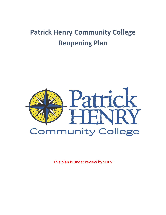# **Patrick Henry Community College Reopening Plan**



This plan is under review by SHEV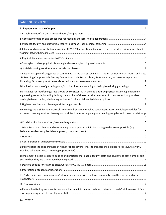### TABLE OF CONTENTS

| 4. Education/training of students: consider COVID-19 prevention education as part of student orientation. (hand                                                                                                                         |
|-----------------------------------------------------------------------------------------------------------------------------------------------------------------------------------------------------------------------------------------|
|                                                                                                                                                                                                                                         |
|                                                                                                                                                                                                                                         |
|                                                                                                                                                                                                                                         |
| c) Restrict occupancy/stagger use of communal, shared spaces such as classrooms, computer classrooms, and labs,<br>LRC Learning Computer Lab, Testing Center, Math Lab, Lester Library Reference Lab, etc. to ensure physical           |
|                                                                                                                                                                                                                                         |
| e) Strategies for food/dining areas should be consistent with plans to optimize physical distancing. Implement<br>engineering controls, including limiting the number of diners or other methods of crowd control, appropriate          |
|                                                                                                                                                                                                                                         |
| a) Cleaning and disinfection protocols to include frequently touched surfaces; transport vehicles; schedules for<br>increased cleaning, routine cleaning, and disinfection; ensuring adequate cleaning supplies and correct use/storage |
|                                                                                                                                                                                                                                         |
| c) Minimize shared objects and ensure adequate supplies to minimize sharing to the extent possible (e.g.                                                                                                                                |
|                                                                                                                                                                                                                                         |
|                                                                                                                                                                                                                                         |
| a) Policy options to support those at higher risk for severe illness to mitigate their exposure risk (e.g. telework,                                                                                                                    |
| b) Implement flexible sick leave policies and practices that enable faculty, staff, and students to stay home or self-                                                                                                                  |
|                                                                                                                                                                                                                                         |
|                                                                                                                                                                                                                                         |
| 10. Partnership and communication/information sharing with the local community, health systems and other                                                                                                                                |
|                                                                                                                                                                                                                                         |
| a) Plans submitted by each institution should include information on how it intends to teach/reinforce use of face                                                                                                                      |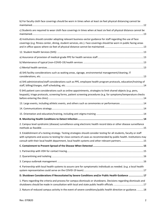| b) For faculty cloth face coverings should be worn in times when at least six feet physical distancing cannot be                                                                                                                                                                                                                             |
|----------------------------------------------------------------------------------------------------------------------------------------------------------------------------------------------------------------------------------------------------------------------------------------------------------------------------------------------|
| c) Students are required to wear cloth face coverings in times when at least six feet of physical distance cannot be                                                                                                                                                                                                                         |
| d) Institutions should consider adopting relevant business-sector guidance for staff regarding the use of face<br>coverings (e.g. fitness center, dining, student services, etc.). Face coverings should be worn in public facing areas                                                                                                      |
|                                                                                                                                                                                                                                                                                                                                              |
|                                                                                                                                                                                                                                                                                                                                              |
|                                                                                                                                                                                                                                                                                                                                              |
|                                                                                                                                                                                                                                                                                                                                              |
| d) SHS facility considerations such as waiting areas, signage, environmental management/cleaning, IT                                                                                                                                                                                                                                         |
| e) SHS administrative/staff considerations such as PPE, employee health program protocols, education/training of                                                                                                                                                                                                                             |
| f) SHS patient care considerations such as online appointments, strategies to limit shared objects (e.g. pens,<br>keypads), triage protocols, screening forms, patient screening procedures (e.g. for symptoms/temperature checks                                                                                                            |
| 14. Large events, including athletic events, and others such as ceremonies or performances 14                                                                                                                                                                                                                                                |
|                                                                                                                                                                                                                                                                                                                                              |
|                                                                                                                                                                                                                                                                                                                                              |
|                                                                                                                                                                                                                                                                                                                                              |
| 2. Campus level syndromic (disease) surveillance using electronic health record data or other disease surveillance                                                                                                                                                                                                                           |
| 3. Establishment of a testing strategy. Testing strategies should consider testing for all students, faculty or staff<br>with symptoms and access to testing for close contacts of cases as recommended by public health. Institutions may<br>consult with their local health department, local health systems and other relevant partners15 |
|                                                                                                                                                                                                                                                                                                                                              |
|                                                                                                                                                                                                                                                                                                                                              |
|                                                                                                                                                                                                                                                                                                                                              |
|                                                                                                                                                                                                                                                                                                                                              |
| 4. Partnership with local health systems to assure care for symptomatic individuals as needed. (e.g. a local health                                                                                                                                                                                                                          |
| D. Shutdown Considerations If Necessitated by Severe Conditions and/or Public Health Guidance  17                                                                                                                                                                                                                                            |
| 1. Plans regarding the criteria and process for campus dismissals or shutdowns. Decisions regarding dismissals and                                                                                                                                                                                                                           |
| 2. Nature of reduced campus activity in the event of severe conditions/public health direction or guidance. 18                                                                                                                                                                                                                               |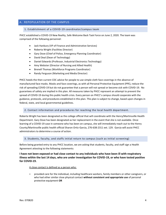### <span id="page-4-1"></span><span id="page-4-0"></span>A. REPOPULATION OF THE CAMPUS

#### 1. Establishment of a COVID-19 coordinator/campus team

PHCC established a COVID-19 New Reality, Safe Welcome Back Task Force on June 2, 2020. The team was comprised of the following personnel:

- Jack Hanbury (VP of Finance and Administrative Services)
- Roberta Wright (Facilities Director)
- Gary Dove (Chief of Police, Emergency Planning Coordinator)
- David Deal (Dean of Technology)
- Daniel Edwards (Professor, Industrial Electronics Technology)
- Amy Webster (Director of Nursing and Allied Health)
- Brenell Thomas (Workforce Programs Coordinator)
- Randy Ferguson (Marketing and Media Director)

PHCC heeds the then current CDC advice for people to use simple cloth face coverings in the absence of manufactured face masks. Masks and face coverings, as with all Personal Protective Equipment (PPE), reduce the risk of spreading COVID-19 but do not guarantee that a person will not spread or become sick with COVID-19. No guarantees of safety are implied in this plan. All measures taken by PHCC represent an attempt to prevent the spread of COVID-19 during this public health crisis. Every person on PHCC's campus should cooperate with the guidance, protocols, and procedures established in this plan. This plan is subject to change, based upon changes in federal, state, and local governmental guidelines.

### <span id="page-4-2"></span>2. Contact information and procedures for reaching the local health department.

Roberta Wright has been designated as the college official that will coordinate with the Henry/Martinsville Health Department. Gary Dove has been designated as her replacement in the event that she is not available. Once learning of a COVID-19 case in someone who has been on campus, she will immediately reach out to the Henry County/Martinsville public health official Sharon Ortiz-Garcia, 276-638-2311 ext. 129. Garcia will assist PHCC administrators to determine a course of action.

#### <span id="page-4-3"></span>3. Students, faculty, and staffs initial return to campus (such as initial screening)

Before being granted entry to any PHCC location, we are asking that students, faculty, and staff sign a Health Agreement attesting to the following statements:

**I have not been exposed or had close contact to any individuals who have been ill with respiratory illness within the last 14 days, who are under investigation for COVID-19, or who have tested positive for COVID-19.**

### A close contact is defined as a person who:

• provided care for the individual, including healthcare workers, family members or other caregivers, or who had other similar close physical contact **without consistent and appropriate use** of personal protective equipment **OR**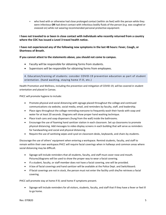• who lived with or otherwise had close prolonged contact (within six feet) with the person while they were infectious **OR** had direct contact with infectious bodily fluids of the person (e.g. was coughed or sneezed on) while not wearing recommended personal protective equipment.

**I have not traveled to or been in close contact with individuals who recently returned from a country where the CDC has issued a Level 3 travel health notice.**

**I have not experienced any of the following new symptoms in the last 48 hours: Fever, Cough, or Shortness of Breath.**

### **If you cannot attest to the statements above, you should not come to campus.**

- Faculty will be responsible for obtaining forms from students.
- Supervisors will be responsible for obtaining forms from employees.

<span id="page-5-0"></span>4. Education/training of students: consider COVID-19 prevention education as part of student orientation. (hand washing, staying home if ill, etc.)

Health Promotion and Wellness, including the prevention and mitigation of COVID-19, will be covered in student orientation and placed in Canvas.

PHCC will promote hygiene to include:

- Promote physical and social distancing with signage placed throughout the college and continued communications via website, social media, email, and reminders by faculty, staff, and leadership.
- Place signs throughout the college reminding everyone to frequently wash their hands with soap and water for at least 20 seconds. Diagrams will show proper hand washing technique.
- Place trash cans and soap dispensers (hung from the wall) inside the bathrooms.
- Encourage the use of foaming hand sanitizer station in each classroom. Set up classrooms to promote physical distancing. Add messages to video display screens in each building that will serve as reminders for handwashing and social and physical distancing.
- Require the use of sanitizing wipes and Lysol on classroom desks, keyboards, and chairs by students.

Discourage the use of others' equipment when entering a workspace. Remind students, faculty, and staff to remain within their own workspace.PHCC will require facial coverings when in hallways and common areas where social distancing may be difficult.

- Signage will include reminders that all students, faculty, and staff must cover nose and mouth. Pictures/diagrams will be used to show the proper way to wear a facial covering.
- If a student, faculty, or staff member does not have a facial covering, one will be provided.
- A box of facial coverings and hand sanitizer will be available at the Police Dept. and Switchboard.
- If facial coverings are not in stock, the person must not enter the facility until she/he retrieves a facial covering.

PHCC will promote stay at home if ill; send home if symptoms present.

• Signage will include reminders for all visitors, students, faculty, and staff that if they have a fever or feel ill to go home.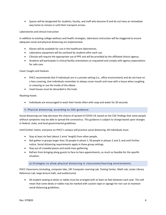• Spaces will be designated for students, faculty, and staff who become ill and do not have an immediate way home to remain in until their transport arrives.

Laboratories and clinical instruction

In addition to existing college wellness and health strategies, laboratory instruction will be staggered to ensure adequate social and physical distancing are implemented.

- Gloves will be available for use in the healthcare laboratories.
- Laboratory equipment will be sanitized by students after each use.
- Clinicals will require the appropriate use of PPE and will be provided by the affiliated clinical agency.
- Students will participate in clinical facility orientations as requested and comply with agency expectations for safe care.

#### Cover Coughs and Sneezes

- PHCC recommends that if individuals are in a private setting (i.e., office environment) and do not have on a face covering, that individuals remember to always cover mouth and nose with a tissue when coughing or sneezing or use the inside of the elbow.
- Used tissues must be discarded in the trash.

### Washing Hands

• Individuals are encouraged to wash their hands often with soap and water for 20 seconds.

### <span id="page-6-0"></span>5. Physical distancing, according to CDC guidance:

Social distancing can help decrease the chance of spread of COVID-19, based on the CDC findings that some people without symptoms may be able to spread the coronavirus. This guidance is subject to change based upon changes in federal, state, and local governmental guidelines.

Until further notice, everyone on PHCC's campus will practice social distancing. All individuals must:

- Stay at least six feet (about 2 arms' length) from other people.
- Not gather in groups larger than 10 people in phase 1; 50 people in phases 2 and 3; and until further notice. Social distancing requirements apply in these group settings.
- Stay out of crowded places and avoid mass gathering.
- Refrain from bringing along guests to face-to-face appointments, as much as feasible for the specific situation.

### a) Strategies to allow physical distancing in classrooms/learning environments.

<span id="page-6-1"></span>PHCC Classrooms (including, computer labs, LRC Computer Learning Lab, Testing Center, Math Lab, Lester Library Reference Lab, large lecture halls, and auditoriums)

• All student seating at desks or tables must be arranged with at least six feet between each seat. This will mean that some desks or tables may be marked with caution tape or signage for non-use to maintain social distancing guidelines.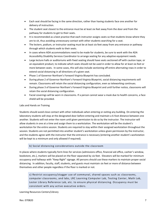- Each seat should be facing in the same direction, rather than having students face one another for delivery of instruction.
- The student seat closest to the entrance must be at least six feet away from the door and from the pathway for students to get to their seats.
- It is recommended as a best practice that each instructor assigns seats so that students know where they are to sit, thus avoiding unnecessary contact with other students searching for a seat.
- The lectern, podium, or instructor seating must be at least six feet away from any entrance or pathway through which students walk to their seats.
- In cases where ADA accommodations need to be made for students, be sure to work with the ADA Accessibility Disability Services Coordinator to arrange seating for any adaptive equipment needs.
- Large lecture halls or auditoriums with fixed seating should have seats sectioned off with caution tape, or an equivalent product, to indicate which seats should not be used in order to allow for at least six feet or more between seats. In some cases, this will also include sectioning off entire alternating rows in order to extend social distancing in all directions of a given seat.
- Phase 1 of Governor Northam's Forward Virginia Blueprint has concluded.
- During phase 2 of Governor Northam's Forward Virginia Blueprint, social distancing requirements will remain. Classrooms will retain the social distancing configuration, even as teleworking continues.
- During phase 3 of Governor Northam's Forward Virginia Blueprint and until further notice, classrooms will retain the social distancing configuration.
- Facial coverings will be worn in classrooms. If a person cannot wear a mask due to health concerns, a face shield will be provided.

### Labs and Hands on Training

Students should avoid close contact with other individuals when entering or exiting any building. On entering the laboratory students will stop at the designated door before entering and maintain a 6-foot distance between one another. Students will not enter the room until given permission to do so by the instructor. The instructor will allow students in one at a time and assign them to a workstation. The workstation will be the student's workstation for the entire session. Students are required to stay within their assigned workstation throughout the session. Students are not permitted into another student's workstation unless given permission by the instructor, and the students agree with the instructor that the entrance is necessary (entering another student's workstation will be kept to a minimum and only allowed if required).

### b) Social distancing considerations outside the classroom

<span id="page-7-0"></span>In places where students typically form lines for services (admissions office, financial aid office, cashier's window, bookstore, etc.), markers will be placed on the floor separated by six feet. Elevators will be marked for minimum occupancy and hallways with "Keep Right" signage. All persons should use these markers to maintain proper social distancing. In addition, faculty, staff, students, and guests must maintain six feet or more of distance between themselves and other people regardless if the floor is marked or not.

<span id="page-7-1"></span>c) Restrict occupancy/stagger use of communal, shared spaces such as classrooms, computer classrooms, and labs, LRC Learning Computer Lab, Testing Center, Math Lab, Lester Library Reference Lab, etc. to ensure physical distancing. Occupancy must be consistent with any active executive orders.

Learning Resources Centers/Library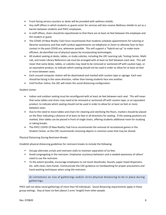- Front-facing service counters or desks will be provided with wellness shields.
- Any staff offices in which students or guests enter for services will also receive Wellness shields to act as a barrier between students and PHCC employees.
- In staff offices, chairs should be repositioned so that there are at least six feet between the employee and the student or guest.
- The COVID-19 New Reality Task Force recommends that students schedule appointments for tutoring or librarian assistance and that staff conduct appointments via telephone or Zoom to alleviate face-to-face contact in the post-COVID era, whenever possible. This will support a "hybrid set-up" to make more efficient, de-densified use of physical spaces by incorporating technologies.
- All student seating at desks, tables, or study cubicles, including the LRC Learning Lab, Testing Center, Math Lab, and Lester Library Reference Lab must be arranged with at least six feet between each seat. This will mean that some desks, tables, or cubicles may need to be removed or sectioned off with caution tape, or an equivalent product, to indicate which seating should not be used in order to allow for at least six feet or more between seats.
- Each unused computer station will be deactivated and marked with caution tape or signage. Each seat should be facing in the same direction, rather than having students face one another.
- Until further notice, the LRC will retain the social distancing configuration.

### Student Center

- Indoor and outdoor seating must be reconfigured with at least six feet between each seat. This will mean that some tables and chairs may need to be removed or sectioned off with caution tape, or an equivalent product, to indicate which seating should not be used in order to allow for at least six feet or more between seats.
- Due to the need to move tables and chairs for cleaning and sterilizing the floors, markers should be placed on the floor indicating a distance of at least six feet in all directions for seating. If the seating positions are marked, then tables can be placed in front of single chairs, offering students additional room for studying or taking breaks.
- The PHCC COVID-19 New Reality Task Force recommends the removal of recreational games in the Student Center, as the CDC recommends removing objects in common areas that may be shared.

### Physical Distancing During Restroom Breaks

Establish physical distancing guidelines for restroom breaks to include the following:

- Occupy alternate urinals and restroom stalls to maintain separation of six feet.
- Avoid congregating in the restroom. Emphasize courteous behaviors and a needed awareness of others' need to use the restroom.
- To the extent possible, encourage employees to not touch doorknobs, faucets, paper towel dispensers, etc. with clean, bare hands. Communicate the CDC guidance on handwashing for proper precautions and hand washing techniques when using the restroom.

<span id="page-8-0"></span>d) Limitations on size of gatherings and/or strict physical distancing to be in place during gatherings.

PHCC will not allow social gatherings of more than 50 individuals. Social distancing requirements apply in these group settings. Stay at least six feet (about 2 arms' length) from other people.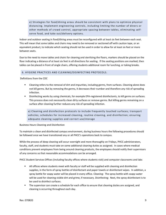<span id="page-9-0"></span>e) Strategies for food/dining areas should be consistent with plans to optimize physical distancing. Implement engineering controls, including limiting the number of diners or other methods of crowd control, appropriate spacing between tables, eliminating selfserve food, and take out/delivery options.

Indoor and outdoor seating in food/dining areas must be reconfigured with at least six feet between each seat. This will mean that some tables and chairs may need to be removed or sectioned off with caution tape, or an equivalent product, to indicate which seating should not be used in order to allow for at least six feet or more between seats.

Due to the need to move tables and chairs for cleaning and sterilizing the floors, markers should be placed on the floor indicating a distance of at least six feet in all directions for seating. If the seating positions are marked, then tables can be placed in front of single chairs, offering students additional room for lunching, or taking breaks.

### <span id="page-9-1"></span>6. HYGIENE PRACTICES AND CLEANING/DISINFECTING PROTOCOLS.

Definitions from the CDC

- Cleaning refers to the removal of dirt and impurities, including germs, from surfaces. Cleaning alone does not kill germs. But by removing the germs, it decreases their number and therefore any risk of spreading infection.
- Disinfecting works by using chemicals, for example EPA-registered disinfectants, to kill germs on surfaces. This process does not necessarily clean dirty surfaces or remove germs. But killing germs remaining on a surface after cleaning further reduces any risk of spreading infection.

<span id="page-9-2"></span>a) Cleaning and disinfection protocols to include frequently touched surfaces; transport vehicles; schedules for increased cleaning, routine cleaning, and disinfection; ensuring adequate cleaning supplies and correct use/storage

Business Hours Cleaning and Disinfection

To maintain a clean and disinfected campus environment, during business hours the following procedures should be followed once we have transitioned any or all PHCC's operations back to campus.

While the process of deep cleaning will occur overnight and more thoroughly on Fridays, PHCC administrators, faculty, staff, and students must take on some additional cleaning duties as assigned. In cases where medical conditions prevent employees from being around cleaning products, the employees should notify their supervisors of any concerns so that reasonable accommodations can be arranged.

PHCC Student Services Offices (including faculty offices where students visit) and computer classrooms and labs

- **■** All offices where students meet with faculty or staff will be supplied with cleaning and disinfection supplies, in the form of spray bottles of disinfectant and paper towels or disinfectant wipes. In addition, a spray bottle for soapy water will be placed in every office. Cleaning: The spray bottle with soapy water will be used for cleaning visible dirt and grime, if necessary. Disinfecting: Next, the spray disinfectant is to be used to disinfect surfaces.
- **■** The supervisor can create a schedule for each office to ensure that cleaning duties are assigned, and cleaning is occurring throughout each day.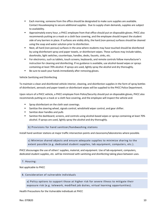- Each morning, someone from the office should be designated to make sure supplies are available. Contact Housekeeping to secure additional supplies. Due to supply-chain demands, supplies are subject to availability.
- Approximately every hour, a PHCC employee from that office should put on disposable gloves. PHCC also recommends putting on a mask or a cloth face covering, and the employee should inspect the student side of any barriers in place. If surfaces are visibly dirty, the hard (non-porous) surfaces should be cleaned using the soap and water solution prior to disinfection.
- Next, all hard (non-porous) surfaces in the area where students may have touched should be disinfected by using disinfectant spray and paper towels, or disinfectant wipes. These surfaces may include tables, doorknobs, light switches, countertops, handles, desks, faucets, sinks, etc.
- For electronics, such as tablets, touch screens, keyboards, and remote controls follow manufacturer's instruction for cleaning and disinfecting. If no guidance is available, use alcohol-based wipes or sprays containing at least 70% alcohol. If sprays are used, lightly spray the alcohol and dry thoroughly.
- Be sure to wash your hands immediately after removing gloves.

### Vehicle Sanitizing and Disinfecting

To maintain a clean and disinfected vehicle interior, cleaning, and disinfection supplies in the form of spray bottles of disinfectant, aerosols and paper towels or disinfectant wipes will be supplied to the PHCC Police Department.

Upon return of a PHCC vehicle, a PHCC employee from Police/Security should put on disposable gloves, PHCC also recommends putting on a mask or a cloth face covering, and the employee will inspect the vehicle and:

- Spray disinfectant on the cloth seat coverings.
- Sanitize the steering wheel, signals control, windshield wiper control, and gear shifter.
- Sanitize door handles and pulls
- Sanitize the dashboard, screens, and controls using alcohol-based wipes or sprays containing at least 70% alcohol. If sprays are used, lightly spray the alcohol and dry thoroughly.

b) Provisions for hand sanitizer/handwashing stations

<span id="page-10-1"></span><span id="page-10-0"></span>Install hand sanitizer stations at major traffic intersection points and classrooms/laboratories where possible.

c) Minimize shared objects and ensure adequate supplies to minimize sharing to the extent possible (e.g. dedicated student supplies, lab equipment, computers, etc.).

PHCC discourages the use of others' supplies, material, and equipment. Use of lab equipment, computers, dedicated student supplies, etc. will be minimized with sanitizing and disinfecting taking place between uses.

#### <span id="page-10-2"></span>7. Housing:

Not applicable to PHCC

### <span id="page-10-4"></span><span id="page-10-3"></span>8. Consideration of vulnerable individuals

a) Policy options to support those at higher risk for severe illness to mitigate their exposure risk (e.g. telework, modified job duties, virtual learning opportunities).

Health Precautions for the Vulnerable individuals at PHCC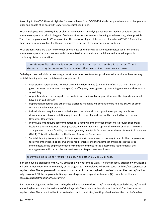According to the CDC, those at high-risk for severe illness from COVID-19 include people who are sixty-five years or older and people of all ages with underlying medical conditions.

PHCC employees who are sixty-five or older or who have an underlying documented medical condition and are immune compromised should be given flexible options for alternative scheduling or teleworking, when possible. Therefore, employees of PHCC who consider themselves at high-risk for severe illness from COVID-19 should alert their supervisor and contact the Human Resources Department for appropriate procedures.

PHCC students who are sixty-five or older or who have an underlying documented medical condition and are immune compromised must consult with Student Services to develop an individualized education plan for continuing distance education.

<span id="page-11-0"></span>b) Implement flexible sick leave policies and practices that enable faculty, staff, and students to stay home or self-isolate when they are sick or have been exposed.

Each department administrator/manager must determine how to safely provide on-site service while observing social distancing rules and facial covering requirements.

- Base staffing requirements for each area will be determined (the number of staff that must be on site given business requirements and space). Staffing may be staggered by continuing telework and rotational scheduling.
- Appointments are encouraged versus walk-in interactions. For urgent situations, the department must have an on-call contact.
- **•** Department meetings and other cross-discipline meetings will continue to be held via ZOOM or other technology whenever practical.
- **■** Individuals who require accommodation (such as telework) must provide supporting healthcare documentation. Accommodation requirements for faculty and staff will be handled by the Human Resources Department.
- Individuals who require accommodation for a family member or dependent must provide supporting healthcare documentation. When possible, telework may be an option. If telework or alternative work arrangements are not feasible, the employee may be eligible for leave under the Family Medical Leave Act (FMLA). This will be handled by the Human Resources Department.
- Social distancing is a requirement. Facial coverings in common areas are requirements. If an employee or faculty member does not observe those requirements, the manager/dean must address the issue immediately. If the employee or faculty member continues not to observe the requirements, the manager/dean will contact the Human Resources Department to address.

### c) Develop policies for return to class/work after COVID-19 illness.

<span id="page-11-1"></span>If an employee is diagnosed with COVID 19 he/she will not come to work. If he/she recently attended work, he/she will advise their supervisor immediately of the diagnosis. The employee will stay in touch with his/her supervisor as he/she is able. The employee will not return to work until (1) a doctor/health professional verifies that he/she has fully recovered OR the employee is 14-days post-diagnosis and symptom-free and (2) contacts the Human Resources Department prior to returning.

If a student is diagnosed with COVID 19 he/she will not come to class. If he/she recently attended class, he/she will advise his/her instructor immediately of the diagnosis. The student will stay in touch with his/her instructor as he/she is able. The student will not return to class until (1) a doctor/health professional verifies that he/she has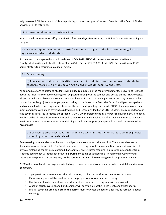fully recovered OR the student is 14-days post-diagnosis and symptom-free and (2) contacts the Dean of Student Services prior to returning.

#### <span id="page-12-0"></span>9. International student considerations

International students must self-quarantine for fourteen days after entering the United States before coming on campus.

<span id="page-12-1"></span>10. Partnership and communication/information sharing with the local community, health systems and other stakeholders.

In the event of a suspected or confirmed case of COVID-19, PHCC will immediately contact the Henry County/Martinsville public health official Sharon Ortiz-Garcia, 276-638-2311 ext. 129. Garcia will assist PHCC administrators to determine a course of action.

#### <span id="page-12-3"></span><span id="page-12-2"></span>11. Face coverings.

a) Plans submitted by each institution should include information on how it intends to teach/reinforce use of face coverings among students, faculty, and staff.

All communications to staff and students will include reminders on the requirements for face coverings. Signage about the importance of face coverings will be posted throughout the campus and posted on the PHCC website. All persons who are allowed on PHCC's campus will maintain social distancing practices and stay at least six feet (about 2 arms' length) from other people. According to the Governor's Executive Order 63, all patrons aged ten and over shall, when entering, exiting, traveling through, and spending time inside PHCC's buildings, cover their mouth and nose with a face covering, as described and recommended by the CDC. Students are required to wear face covering in classes to reduce the spread of COVID-19, therefore creating a lower risk environment. If needed, masks may be obtained from the campus police department and Switchboard. If an individual refuses to wear a mask under these circumstances without claiming a medical exemption, campus police should be contacted at 276-656-0221.

<span id="page-12-4"></span>b) For faculty cloth face coverings should be worn in times when at least six feet physical distancing cannot be maintained.

Face coverings are mandatory to be worn by all people when around others on PHCC's campus when social distancing may not be possible. For Faculty cloth face coverings should be worn in times when at least six feet physical distancing cannot be maintained. For example, an instructor standing in a classroom seven feet from students could teach without a face covering. During meetings or gatherings or in narrow hallways or other settings where physical distancing may not be easy to maintain, a face covering would be prudent to wear.

PHCC will require facial coverings when in hallways, classrooms, and common areas where social distancing may be difficult.

- **EXECT** Signage will include reminders that all students, faculty, and staff must cover nose and mouth. Pictures/diagrams will be used to show the proper way to wear a facial covering.
- **■** If a student, faculty, or staff member does not have a facial covering, one will be provided.
- A box of facial coverings and hand sanitizer will be available at the Police Dept. and Switchboard.
- If facial coverings are not in stock, the person must not enter the facility until she/he retrieves a facial covering.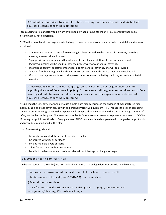<span id="page-13-0"></span>c) Students are required to wear cloth face coverings in times when at least six feet of physical distance cannot be maintained.

Face coverings are mandatory to be worn by all people when around others on PHCC's campus when social distancing may not be possible.

PHCC will require facial coverings when in hallways, classrooms, and common areas where social distancing may be difficult.

- Students are required to wear face covering in classes to reduce the spread of COVID-19, therefore creating a lower risk environment.
- **EXECT** Signage will include reminders that all students, faculty, and staff must cover nose and mouth. Pictures/diagrams will be used to show the proper way to wear a facial covering.
- If a student, faculty, or staff member does not have a facial covering, one will be provided.
- A box of facial coverings and hand sanitizer will be available at the Police Dept. and Switchboard.
- If facial coverings are not in stock, the person must not enter the facility until she/he retrieves a facial covering.

<span id="page-13-1"></span>D) Institutions should consider adopting relevant business-sector guidance for staff regarding the use of face coverings (e.g. fitness center, dining, student services, etc.). Face coverings should be worn in public facing areas and in office spaces where six feet of physical distance cannot be maintained.

PHCC heeds the CDC advice for people to use simple cloth face coverings in the absence of manufactured face masks. Masks and face coverings, as with all Personal Protective Equipment (PPE), reduces the risk of spreading COVID-19 but does not guarantee that a person will not spread or become sick with COVID-19. No guarantees of safety are implied in this plan. All measures taken by PHCC represent an attempt to prevent the spread of COVID-19 during this public health crisis. Every person on PHCC's campus should cooperate with the guidance, protocols, and procedures established in this plan.

Cloth face coverings should:

- fit snugly but comfortably against the side of the face
- be secured with ties or ear loops
- include multiple layers of fabric
- allow for breathing without restriction
- be able to be laundered and machine dried without damage or change to shape

#### <span id="page-13-2"></span>12. Student Health Services (SHS):

<span id="page-13-3"></span>The below sections a) through f) are not applicable to PHCC. The college does not provide health services.

a) Assurance of provision of medical-grade PPE for health services staff

- <span id="page-13-4"></span>b) Maintenance of typical (non-COVID-19) health services
- <span id="page-13-5"></span>c) Mental health services

<span id="page-13-6"></span>d) SHS facility considerations such as waiting areas, signage, environmental management/cleaning, IT considerations, etc.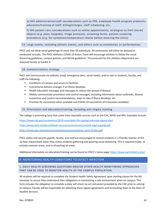<span id="page-14-0"></span>e) SHS administrative/staff considerations such as PPE, employee health program protocols, education/training of staff, billing/charges, staff scheduling, etc.

<span id="page-14-1"></span>f) SHS patient care considerations such as online appointments, strategies to limit shared objects (e.g. pens, keypads), triage protocols, screening forms, patient screening procedures (e.g. for symptoms/temperature checks before entering the clinic).

### <span id="page-14-2"></span>13. Large events, including athletic events, and others such as ceremonies or performances

PHCC will not allow social gatherings of more than 50 individuals. All ceremonies will either be delayed or conducted virtually. The PHCC Athletics COVID-19 Action Team will encourage athletes to follow the social distancing guidelines, campus policies, and NJCAA guidelines. The protocols for the athletics department are attached hereto as Exhibit A

#### <span id="page-14-3"></span>14. Communications strategy

PHCC will communicate via website, email, emergency alert, social media, and/or text to students, faculty, and staff the following:

- Conditions of campus and access to facilities.
- Instructional delivery changes if an illness develops.
- Health education messages and messages to reduce the spread of disease.
- Widely communicate prevention and control messages, including information about outbreaks, disease prevention and control recommendations, steps to take if illness develops, etc.
- Promote flu vaccination when available and COVID-19 vaccination (if it becomes available)

### <span id="page-14-4"></span>15. Orientation and education/training, including anti-stigma training

The college is promoting facts that come from reputable sources such as the CDC, WHO and APA. Examples include

https://www.cdc.gov/coronavirus/2019-ncov/daily-life-coping/reducing-stigma.html

https://www.who.int/docs/default-source/coronaviruse/covid19-stigma-guide.pdf

https://www.apa.org/news/press/statements/combating-covid-19-bias.pdf

PHCC police and security guards, faculty, and staff are encouraged to remind students in a friendly manner of the six-foot requirement when they notice students gathering and ignoring social distancing. This is required inside, at outside common areas, and in all parking lot areas.

Additional information on education/training can be found on PHCC's home page:<https://www.patrickhenry.edu/>

### <span id="page-14-5"></span>B. MONITORING HEALTH CONDITIONS TO DETECT INFECTION

### 1. DAILY HEALTH SCREENING QUESTIONS AND/OR OTHER HEALTH MONITORING APPROACHES THAT CAN BE USED TO MONITOR HEALTH OF THE CAMPUS POPULATION.

All students will be required to complete the Student Health Safety Agreement upon starting classes for the fall semester to assure they understand their obligations in maintaining a safe environment when on campus. This form includes the obligation to complete a daily self-check via an instrument provided by the CDC prior to coming to campus. Faculty will be responsible for obtaining these signed agreements and forwarding them to the Dean of Student Services.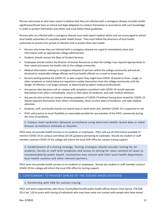Persons who know or who have reason to believe that they are infected with a contagious disease of public health significance/threat have an ethical and legal obligation to conduct themselves in accordance with such knowledge in order to protect themselves and others and must follow these guidelines:

Persons who are infected with a contagious disease must seek expert medical advice and are encouraged to advise local health authorities of a possible public health threat. They must follow the directions of local health authorities to prevent the spread of infection and to protect their own health.

- Persons who know they are infected with a contagious disease are urged to immediately share that information with an appropriate college administrator.
- Students should contact the Dean of Student Services.
- Employees should contact the Director of Human Resources so that the College may respond appropriately to their needs and assess the health risks to the college community.
- Medical information relating to contagious diseases of persons within the college community will only be disclosed to responsible college officials and local health officials on a need-to-know basis.
- Persons testing positive for COVID-19, or who suspect they might have COVID-19 based on fever, cough, or other symptoms as listed below are required to isolate themselves from the college community until the danger of infection is no longer present, as determined by expert medical professionals.
- Any person who becomes sick on campus with symptoms consistent with COVID-19 should separate themselves from others immediately, return to their place of residence, and seek medical attention.
- Any person who arrives on campus showing symptoms of COVID-19 without having been tested for COVID-19 should separate themselves from others immediately, return to their place of residence, and seek medical attention.
- Students, staff, and faculty should not attend class or work when sick, whether COVID-19 is suspected or not.
- <span id="page-15-0"></span>• PHCC will practice as much flexibility as reasonably possible for any member of the PHCC community during this time of pandemic.

2. Campus level syndromic (disease) surveillance using electronic health record data or other disease surveillance methods as feasible.

PHCC does not provide health services to its students or employees. PHCC will use all information available to monitor COVID-19 on campus and follow all CDC guidance pertaining to outbreaks. Should any student or staff member contract COVID-19 the college will inform the local VDH office for contact tracing support.

<span id="page-15-1"></span>3. Establishment of a testing strategy. Testing strategies should consider testing for all students, faculty or staff with symptoms and access to testing for close contacts of cases as recommended by public health. Institutions may consult with their local health department, local health systems and other relevant partners.

PHCC does not provide health services to its students or employees. Should any student or staff member contract COVID-19 the college will inform the local VDH office for testing support.

### <span id="page-15-3"></span><span id="page-15-2"></span>C. CONTAINMENT TO PREVENT SPREAD OF THE DISEASE WHEN DETECTED

### 1. Partnership with VDH for contact tracing

PHCC will work cooperatively with Henry County/Martinsville public health official Sharon Ortiz-Garcia, 276-638- 2311 ext. 129 to assist with tracing of individuals who may have come into contact with people who have tested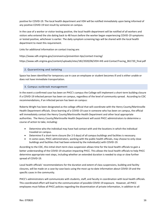positive for COVID-19. The local health department and VDH will be notified immediately upon being informed of any positive COVID-19 test result by someone on campus.

In the case of a worker or visitor testing positive, the local health department will be notified of all workers and visitors who entered the site dating back to 48 hours before the worker began experiencing COVID-19 symptoms or tested positive, whichever is earlier. The daily symptom screening logs will be shared with the local health department to meet this requirement.

Links for additional information on contact tracing are:

https://www.vdh.virginia.gov/coronavirus/prevention-tips/contact-tracing/

https://www.vdh.virginia.gov/content/uploads/sites/182/2020/06/VDH-IHE-and-ContactTracing\_061720\_final.pdf

#### <span id="page-16-0"></span>2. Quarantining and isolating

Space has been identified for temporary use in case an employee or student becomes ill and is either unable or does not have immediate transportation.

#### <span id="page-16-1"></span>3. Campus outbreak management

In the event a confirmed case has been on PHCC's campus the College will implement a short-term building closure if a COVID-19 infected person has been on campus, regardless of the level of community spread. According to CDC recommendations, if an infected person has been on campus:

Roberta Wright has been designated as the college official that will coordinate with the Henry County/Martinsville Health Department officials. Once learning of a COVID-19 case in someone who has been on campus, the official will immediately contact the Henry County/Martinsville Health Department and other local appropriate authorities. The Henry County/Martinsville Health Department will assist PHCC administrators to determine a course of action to take, including:

- Determine who the individual may have had contact with and the locations in which the individual traveled on campus.
- Determine if a short-term closure (for 2-5 days) of all campus buildings and facilities is necessary.
- In some cases, PHCC administrators, working with the public health officials, may choose to only close buildings and facilities that had been entered by the individual(s) with COVID-19.

According to the CDC, this initial short-term class suspension allows time for the local health officials to gain a better understanding of the COVID-19 situation impacting PHCC. This allows the local health officials to help PHCC determine appropriate next steps, including whether an extended duration is needed to stop or slow further spread of COVID-19.

Local health officials' recommendations for the duration and extent of class suspensions, building and facility closures, will be made on a case-by-case basis using the most up-to-date information about COVID-19 and the specific cases in the community.

PHCC's administrators will communicate with students, staff, and faculty in coordination with local health officials. This coordinated effort will lead to the communication of possible COVID-19 exposure. However, all PHCC employees must follow all PHCC policies regarding the dissemination of private information, in addition to all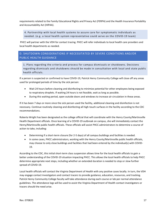requirements related to the Family Educational Rights and Privacy Act (FERPA) and the Health Insurance Portability and Accountability Act (HIPAA).

<span id="page-17-0"></span>4. Partnership with local health systems to assure care for symptomatic individuals as needed. (e.g. a local health system representative could serve on the COVID-19 team)

PHCC will partner with the VDH for contact tracing. PHCC will refer individuals to local health care providers and local health departments as needed.

### <span id="page-17-1"></span>D. SHUTDOWN CONSIDERATIONS IF NECESSITATED BY SEVERE CONDITIONS AND/OR PUBLIC HEALTH GUIDANCE

<span id="page-17-2"></span>1. Plans regarding the criteria and process for campus dismissals or shutdowns. Decisions regarding dismissals and shutdowns should be made in consultation with local and state public health officials.

If a person is suspected or confirmed to have COVID-19, Patrick Henry Community College will close off any areas used for prolonged periods of time by the sick person:

- Wait 24 hours before cleaning and disinfecting to minimize potential for other employees being exposed to respiratory droplets. If waiting 24 hours is not feasible, wait as long as possible.
- During this waiting period, open outside doors and windows to increase air circulation in these areas.

If it has been 7 days or more since the sick person used the facility, additional cleaning and disinfection is not necessary. Continue routinely cleaning and disinfecting all high-touch surfaces in the facility according to the CDC recommendations.

Roberta Wright has been designated as the college official that will coordinate with the Henry County/Martinsville Health Department officials. Once learning of a COVID-19 outbreak on campus, she will immediately contact the Henry/Martinsville public health officials. These officials will assist PHCC administrators to determine a course of action to take, including:

- Determining if a short-term closure (for 2-5 days) of all campus buildings and facilities is needed.
- In some cases, PHCC administrators, working with the Henry County/Martinsville public health officials, may choose to only close buildings and facilities that had been entered by the individual(s) with COVID-19.

According to the CDC, this initial short-term class suspension allows time for the local health officials to gain a better understanding of the COVID-19 situation impacting PHCC. This allows the local health officials to help PHCC determine appropriate next steps, including whether an extended duration is needed to stop or slow further spread of COVID-19.

Local health officials will contact the Virginia Department of Health with any positive cases locally. In turn, the VDH may engage contact investigators and contact tracers to provide guidance, education, resources, and tracking. Patrick Henry Community College faculty will take attendance during each course or lab per normal attendance guidelines. The attendance logs will be used to assist the Virginia Department of Health contact investigators or tracers should the need arise.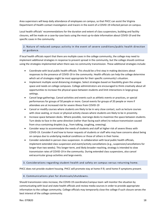Area supervisors will keep daily attendance of employees on campus, so that PHCC can assist the Virginia Department of Health contact investigators and tracers in the event of a COVID-19 infected person on campus.

Local health officials' recommendations for the duration and extent of class suspensions, building and facility closures, will be made on a case-by-case basis using the most up-to-date information about COVID-19 and the specific cases in the community.

<span id="page-18-0"></span>2. Nature of reduced campus activity in the event of severe conditions/public health direction or guidance.

If local health officials report that there are multiple cases in the college community, the college may need to implement additional strategies in response to prevent spread in the community, but the college should continue using the strategies implemented when there was no community transmission. These additional strategies include:

- Coordinate with local public health officials. This should be a first step in making decisions about responses to the presence of COVID-19 in the community. Health officials can help the college determine which set of strategies might be most appropriate for their specific community's situation.
- Implement multiple social distancing strategies. Select strategies based on feasibility given the unique space and needs on college campuses. College administrators are encouraged to think creatively about all opportunities to increase the physical space between students and limit interactions in large group settings.
- Cancel large gatherings. Cancel activities and events such as athletic events or practices, or special performances for groups of 50 people or more. Cancel events for groups of 20 people or more if attendees are at increased risk for severe illness from COVID-19
- Cancel or modify courses where students are likely to be in very close contact, such as lecture courses with close seating, or music or physical activity classes where students are likely to be in proximity.
- Increase space between desks. Where possible, rearrange desks to maximize the space between students. Turn desks to face in the same direction (rather than facing each other) to reduce transmission caused from virus-containing droplets (e.g., from talking, coughing, sneezing).
- Consider ways to accommodate the needs of students and staff at higher risk of severe illness with COVID-19. Consider if and how to honor requests of students or staff who may have concerns about being on campus due to underlying medical conditions or those of others in their home.
- Consider extended in-person class suspension. In collaboration with local public health officials, implement extended class suspension and event/activity cancellations (e.g., suspension/cancellations for longer than two weeks). This longer-term, and likely broader-reaching, strategy is intended to slow transmission rates of COVID-19 in the community. During extended class suspensions, also cancel extracurricular group activities and large events.
- <span id="page-18-1"></span>3. Considerations regarding student health and safety on campus versus returning home.

PHCC does not provide student housing. PHCC will promote stay at home if ill; send home if symptoms present.

<span id="page-18-2"></span>4. Communications plan for dismissals/shutdowns.

Should transmission rates increase, the COVID-19 coordinator/campus team will monitor the situation by communicating with local and state health officials and review media sources in order to provide appropriate information to the college community. College officials may temporarily close the college if such closure serves the best interest of the college community.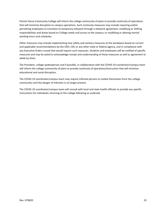Patrick Henry Community College will inform the college community of plans to provide continuity of operations that will minimize disruption to campus operations. Such continuity measures may include requiring and/or permitting employees to transition to temporary telework through a telework agreement; modifying or shifting responsibilities and duties based on College needs and access to the campus; or modifying or altering normal working hours and schedules.

Other measures may include implementing new safety and sanitary measures at the workplace based on current and applicable recommendations by the VDH, CDC or any other state or federal agency, and in compliance with any Executive Orders issued that would require such measures. Students and employees will be notified of specific measures and may be asked to acknowledge receipt and understanding of those measures as well as agreement to abide by them.

The President, college spokesperson and if possible, in collaboration with the COVID-19 coordinator/campus team will inform the college community of plans to provide continuity of operations/instruction that will minimize educational and social disruption.

The COVID-19 coordinator/campus team may require infected persons to isolate themselves from the college community until the danger of infection is no longer present.

The COVID-19 coordinator/campus team will consult with local and state health officials to provide any specific instructions for individuals returning to the college following an outbreak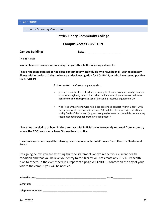### <span id="page-20-1"></span><span id="page-20-0"></span>E. APPENDIX

1. Health Screening Questions

### **Patrick Henry Community College**

### **Campus Access COVID-19**

Campus Building: **Date: Date: Date: Date: Date: Date: Date: Date: Date: Date: Date: Date: Date: Date: Date: Date: Date: Date: Date: Date: Date: Date: Date: Date: Date: Date** 

**THIS IS A TEST**

**In order to access campus, we are asking that you attest to the following statements:**

**I have not been exposed or had close contact to any individuals who have been ill with respiratory illness within the last 14 days, who are under investigation for COVID-19, or who have tested positive for COVID-19**

#### A close contact is defined as a person who:

- provided care for the individual, including healthcare workers, family members or other caregivers, or who had other similar close physical contact **without consistent and appropriate use** of personal protective equipment **OR**
- who lived with or otherwise had close prolonged contact (within 6 feet) with the person while they were infectious **OR** had direct contact with infectious bodily fluids of the person (e.g. was coughed or sneezed on) while not wearing recommended personal protective equipment?

**I have not traveled to or been in close contact with individuals who recently returned from a country where the CDC has issued a Level 3 travel health notice**

**I have not experienced any of the following new symptoms in the last 48 hours: Fever, Cough or Shortness of Breath**

By signing below, you are attesting that the statements above reflect your current health condition and that you believe your entry to this facility will not create any COVID-19 health risks to others. In the event there is a report of a positive COVID-19 contact on the day of your visit to the campus you will be notified.

| <b>Printed Name:</b> |  |
|----------------------|--|
|                      |  |

**Signature:**  $\blacksquare$ 

**Telephone Number: \_\_\_\_\_\_\_\_\_\_\_\_\_\_\_\_\_\_\_\_\_\_\_\_\_\_\_\_\_\_\_\_\_\_\_\_\_\_\_\_\_\_\_\_\_\_\_\_**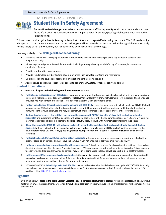### <span id="page-21-0"></span>2. Student Health Safety Agreement

COVID 19 RETURN TO IN-PERSON CLASS



Student Health Safety Agreement

The health and well-being of our students, instructors and staff is a top priority. With the current and uncertain future of the COVID 19 Pandemic outbreak, it imperative we follow very specific guidelines until such time as the Pandemic ends.

This document provides guidelines for keeping students, instructors, and college staff safe during the current COVID 19 pandemic for all in-person classes. As a condition for your return to class, you will be expected to practice and follow these guidelines consistently for the safety of not only yourself, but for others you will encounter at the college.

### For my safety, the College will do the following:

- Maintain a commitment to keeping educational interruptions to a minimum and helping students stay on track to complete their programs of study;
- Initiatestepstomitigatetheriskandoftransmissionincludingthoroughcleaninganddisinfectingof classroom/labareasatthe conclusion of classes;
- Provide hand sanitizers on campus;
- Provide regular cleaning/disinfecting of common areas such as water fountains and restrooms;
- Quickly respond to student concerns and/or questions as they may arise, and;
- Adapt, adjust, or change procedures or polices to adhere to CDC, state, or federal policy/guidelines.

### Student Expectations:

#### As a student, I agree to the following conditions to return to class:

- 1. Iwill not come to class sick or stayifIfeel sick,regardlessofsymptoms.Iwill contactmy instructorsothathe/sheisawareandcan make instructional accommodations for the instructional accommodations is the following conditions to return to class:<br>I will not come to class sick or stay if I feel sick, regardless of symptoms. I will contact my instruc provided me with contact information, I will ask or contact the Dean of Students office;
- 2. I will not come to class if I have been exposed to someone with COVID 19 ortraveled to an area with a high incidence COVID 19. I will quarantineperCDCguidelines. Iwillnot comeback toclassuntilIhavequarantinedforaminimumof14days.Iwill contactmy instructor so that he/she is aware and may make instructional accommodations if appropriate, until I return to class;
- 3. If after attending a class, I find out that I was exposed to someone with COVID 19 outside of class, I will contact my instructor immediately and quarantine per CDC guidelines. I will not come back to class until I have quarantined for atleast 14 days. My instructor may make instructional accommodations if appropriate. I will stay in touch with my instructor until I return to class;
- 4. If I am diagnosed with COVID 19 I will not come to class. If I recently attended class, I will advise my instructor immediately of my If after attending a class, I find out that I was exposed to someone with COVID 19 outside of class, I will contact my instructor immediately and quarantine per CDC guidelines. I will not come back to class until I have qu have fully recovered ORIam 14-days post-diagnosis and symptom-free and (2) contact the Dean of Students office prior to returning.
- 5. I will practice Social/Physical Distancing and will not congregate before, during, and after class, as well as during breaks. I will not loiter or socialize on campus and will leave the campus when not engaged in active course-related activity;
- 6. I will wear a protective face covering (mask) to all in-person classes. This will be required for class admission until such time as I am directed to discontinue. Other Personal Protective Equipment (PPE) may be required by the college or by my instructor. Failure to wear a face covering and required PPE while on campus may result in being asked to leave as well as possible dismissal from class;
- 7. Iwill be prepared if this in-person class is moved online. In the event of a new outbreak or change in state guidelines, I understand it is possible my class may be moved online, fully or partially. I understand that if my class is moved online, I will need access to technology and internet with as little as 24 hours' notice; and,
- 8. RECOMMENDATION: I should sign up for the PHCC Alert so that I will receive school-wide bulletins and update TEXTS/EMAILS not only about closing, but other emergency information I should know. For the latest emergency closing information, please sign up for PHCC Alert by visiting http://alert.patrickhenry.edu/.

### **Signature**

By signing below, I agree to the above Student Expectations as a condition of returning to campus for in-person classes. If, at any time, I fail to follow any of these conditions, I understand I may be dismissed from my class without a refund. This agreement will become part of the class record.

PRINTED NAME DATE DESCRIPTION OF SIGNATURE SIGNATURE AND SERVICE OF SERVICE OF SIGNATURE OF SERVICE OF SERVICE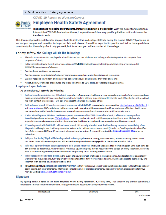#### <span id="page-22-0"></span>3. Employee Health Safety Agreement

**COVID-19 RETURN TO WORK ON CAMPUS** 



# **Employee Health Safety Agreement**

The health and well-being of our students, instructors and staff is a top priority. With the current and uncertain future of the COVID-19 Pandemic outbreak, it imperative we follow very specific guidelines until such time as the Pandemic ends.

This document provides guidelines for keeping students, instructors, and college staff safe during the current COVID-19 pandemic as we re-open campus and transition to in-person labs and classes. You will be expected to practice and follow these guidelines consistently for the safety of not only yourself, but for others you will encounter at the college.

### For my safety, the College will do the following:

- Maintain a commitment to keeping educational interruptions to a minimum and helping students stay on track to complete their programs of study:
- Initiate steps to mitigate the risk and of transmission of COVD-19, including thorough cleaning and disinfecting of classroom/lab ٠ areasatthe conclusion of classes;
- Provide hand sanitizers on campus;
- Provide regular cleaning/disinfecting of common areas such as water fountains and restrooms; ٠
- Quickly respond to student and employee concerns and/or questions as they may arise, and;
- . Adapt, adjust, or change procedures or polices to adhere to CDC, state, or federal policy/guidelines.

### **Employee Expectations:**

#### As an employee, I agree to the following:

- 1. I will not come to work sick or stay if I feel sick, regardless of symptoms. I will contact my supervisor so that he/she is aware and can make accommodations if necessary. I will stay in touch regularly with my supervisor until I return to work. If he/she has not provided me with contact information, I will ask or contact the Human Resources office;
- 2. I will not come to work if I have been exposed to someone with COVID-19 or traveled to an area with a high incidence of COVID-19. I will guarantine per CDC guidelines. I will not come back to work until I have quarantined for a minimum of 14 days. I will contact my supervisor so that he/she is aware and may make accommodations if appropriate, until I return to work;
- 3. If after attending work, I find out that I was exposed to someone with COVID-19 outside of work, I will contact my supervisor immediately and quarantine per CDC guidelines. I will not come back to work until I have quarantined for at least 14 days. My supervisor may make accommodations if appropriate. I will stay in touch with my supervisor until I return to work;
- 4. If I am diagnosed with COVID-19 I will not come to work. If I recently attended work, I will advise my supervisor immediately of my diagnosis. I will stay in touch with my supervisor as I am able. I will not return to work until (1) a doctor/health professional verifies I have fully recovered OR I am 14-days post-diagnosis and symptom-free and (2) contact the Human Resources Office prior to returning.
- 5. I will practice Social/Physical Distancing and will not congregate before, during, and after work, as well as during breaks. I will not loiter or socialize on campus and will leave the campus when not engaged in active work-related activity;
- 6. I will wear a protective face covering (mask) to all in-person functions. This will be required for work admission until such time as I am directed to discontinue. Other Personal Protective Equipment (PPE) may be required by the college or by my supervisor. Failure to wear a face covering and required PPE while on campus may result in being asked to leave;
- 7. I will be prepared if campus re-closes. In the event of a new outbreak or change in state guidelines, I understand it is possible my work may be moved online, fully or partially. I understand that if my work is moved online, I will need access to technology and Internet with as little as 24 hours' notice; and,
- 8. RECOMMENDATION: I should sign up for the PHCC Alert so that I will receive school-wide bulletins and update TEXTS/EMAILS not only about closing, but other emergency information I should know. For the latest emergency closing information, please sign up for PHCC Alert by visiting http://alert.patrickhenry.edu/.

### **Signature**

By signing below, I agree to the above Employee Health Safety Agreement. If, at any time, I fail to follow any of these conditions, I understand I may be sent home from work. This agreement will become part of my employee record.

**PRINTED NAME**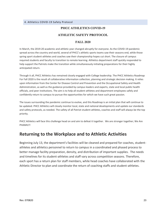### **PHCC ATHLETICS COVID-19**

### **ATHLETIC SAFETY PROTOCOL**

### **FALL 2020**

<span id="page-23-0"></span>In March, the 2019-20 academic and athletic year changed abruptly for everyone. As the COVID-19 pandemic spread across the country and world, several of PHCC's athletic sports teams saw their seasons end, while those spring sport student-athletes and coaches saw their championship hopes cut short. The closure of campus required students and faculty to transition to remote learning. Athletics department staff quickly responded to help support the Patriots make the transition while simultaneously initiating preparations for their highly anticipated return.

Through it all, PHCC Athletics has remained closely engaged with College leadership. The PHCC Athletics Roadmap For Fall 2020 is the result of collaborative information collection, planning and strategic decision making. It relies upon information from the Center for Disease Control and Prevention and the Occupational Safety and Health Administration, as well as the guidance provided by campus leaders and experts, state and local public health officials, and peer institutions. The aim is to help all student-athletes and department employees safely and confidently return to campus to pursue the opportunities for which we have such great passion.

The issues surrounding the pandemic continue to evolve, and this Roadmap is an initial plan that will continue to be updated. PHCC Athletics will closely monitor local, state and national developments and update our standards and safety protocols, as needed. The safety of all Patriot student-athletes, coaches and staff will always be the top priority.

PHCC Athletics will face this challenge head on and aim to defeat it together. We are stronger together; We Are PHAMILY!

## **Returning to the Workplace and to Athletic Activities**

Beginning July 13, the department's facilities will be cleaned and prepared for coaches, studentathletes and athletics personnel to return to campus in a coordinated and phased process to better manage facility preparation, density, and distribution of important supplies. The needs and timelines for its student-athletes and staff vary across competition seasons. Therefore, each sport has a return plan for staff members, while head coaches have collaborated with the Athletic Director to plan and coordinate the return of coaching staffs and student-athletes.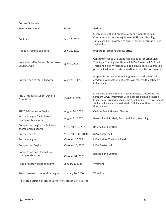**Current Schedule**

| Team / Personnel                                        | <b>Date</b>        | <b>Action</b>                                                                                                                                                                                                                                                                             |
|---------------------------------------------------------|--------------------|-------------------------------------------------------------------------------------------------------------------------------------------------------------------------------------------------------------------------------------------------------------------------------------------|
| <b>Facilities</b>                                       | July 13, 2020      | Clean, disinfect and prepare all department facilities.<br>Community protective equipment (CPE) and cleaning<br>supplies will be allocated to ensure proper distribution and<br>availability                                                                                              |
| Athletic Training: JR Smith                             | July 15, 2020      | Prepare for student-athlete arrival                                                                                                                                                                                                                                                       |
| Volleyball, M/W Soccer, M/W Cross<br>Country, Golf      | July 18, 2020      | Can Return for to use Stone Hall Facilities for Scheduled<br>Trainings. Trainings for Baseball, M/W Basketball, Softball,<br>Track and Field, Wrestling will be delayed as Fall Sports take<br>priority. Evaluation of student-athlete must be documented                                 |
| Practice begins for Fall Sports                         | August 1, 2020     | Prepare for return of remaining teams and the 2020-21<br>academic year. Athletic Director will meet with each team<br>individually.                                                                                                                                                       |
| <b>PHCC Athletics Student-Athlete</b><br>Orientation    | August 3, 2020     | Mandatory attendance of all student-athletes. Documents and<br>pertinent COVID information will be handed out and discussed.<br>Proper Social Distancing requirements will be met. Physical for each<br>student-athlete must be collected. Each team will have a certain<br>time to meet. |
| <b>PHCC Fall Semester Begins</b>                        | August 24, 2020    | Online/ Few In-Person Classes                                                                                                                                                                                                                                                             |
| Practice begins for Fall Non-<br>championship sports    | August 31, 2020    | Baseball and Softball, Track and Field, Wrestling                                                                                                                                                                                                                                         |
| Competition begins for Fall Non-<br>championship sports | September 9, 2020  | <b>Baseball and Softball</b>                                                                                                                                                                                                                                                              |
| Practice begins                                         | September 14, 2020 | M/W Basketball                                                                                                                                                                                                                                                                            |
| Practice begins                                         | October 1, 2020    | M/W Indoor Track and Field                                                                                                                                                                                                                                                                |
| <b>Competition Begins</b>                               | October 16, 2020   | M/W Basketball                                                                                                                                                                                                                                                                            |
| Competition ends for Fall Non-<br>championship sports   | October 31, 2020   | <b>Baseball and Softball</b>                                                                                                                                                                                                                                                              |
| Regular season practice begins                          | January 1, 2021    | Wrestling                                                                                                                                                                                                                                                                                 |
| Regular season competition begins                       | January 20, 2020   | Wrestling                                                                                                                                                                                                                                                                                 |

\*Spring sports schedule currently remains the same.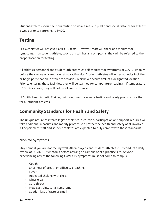Student-athletes should self-quarantine or wear a mask in public and social distance for at least a week prior to returning to PHCC.

# **Testing**

PHCC Athletics will not give COVID-19 tests. However, staff will check and monitor for symptoms. If a student-athlete, coach, or staff has any symptoms, they will be referred to the proper location for testing.

All athletics personnel and student-athletes must self-monitor for symptoms of COVID-19 daily before they arrive on campus or at a practice site. Student-athletes will enter athletics facilities or begin participation in athletics activities, whichever occurs first, at a designated location. Prior to entering these facilities, they will be scanned for temperature readings. If temperature is 100.3 or above, they will not be allowed entrance.

JR Smith, Head Athletic Trainer, will continue to evaluate testing and safety protocols for the for all student-athletes.

# **Community Standards for Health and Safety**

The unique nature of intercollegiate athletics instruction, participation and support requires we take additional measures and modify protocols to protect the health and safety of all involved. All department staff and student-athletes are expected to fully comply with these standards.

### **Monitor Symptoms**

Stay home if you are not feeling well. All employees and student-athletes must conduct a daily review of COVID-19 symptoms before arriving on campus or at a practice site. Anyone experiencing any of the following COVID-19 symptoms must not come to campus:

- Cough
- Shortness of breath or difficulty breathing
- Fever
- Repeated shaking with chills
- Muscle pain
- Sore throat
- New gastrointestinal symptoms
- Sudden loss of taste or smell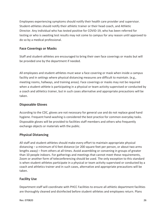Employees experiencing symptoms should notify their health care provider and supervisor. Student-athletes should notify their athletic trainer or their head coach, and Athletic Director. Any individual who has tested positive for COVID-19, who has been referred for testing or who is awaiting test results may not come to campus for any reason until approved to do so by a medical professional.

### **Face Coverings or Masks**

Staff and student-athletes are encouraged to bring their own face coverings or masks but will be provided one by the department if needed.

All employees and student-athletes must wear a face covering or mask when inside a campus facility and in settings where physical distancing measures are difficult to maintain. (e.g., meeting rooms, hallways, and training areas). Face coverings or masks may not be required when a student-athlete is participating in a physical or team activity supervised or conducted by a coach and athletics trainer, but in such cases alternative and appropriate precautions will be taken.

### **Disposable Gloves**

According to the CDC, gloves are not necessary for general use and do not replace good hand hygiene. Frequent hand-washing is considered the best practice for common everyday tasks. Disposable gloves will be provided to facilities staff members and others who frequently exchange objects or materials with the public.

### **Physical Distancing**

All staff and student-athletes should make every effort to maintain appropriate physical distancing – a minimum of 6 feet distance (or 200 square feet per person, or about two arms lengths away) – from others at all times. Avoid assembling or convening in groups of greater than 10 people indoors. For gatherings and meetings that cannot meet these requirements, Zoom or another form of teleconferencing should be used. The only exception to this standard is when student-athletes participate in a physical or team activity supervised or conducted by a coach and athletics trainer and in such cases, alternative and appropriate precautions will be taken.

### **Facility Use**

Department staff will coordinate with PHCC Facilities to ensure all athletic department facilities are thoroughly cleaned and disinfected before student-athletes and employees return. Plans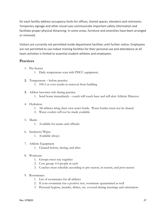for each facility address occupancy limits for offices, shared spaces, elevators and restrooms. Temporary signage and other visual cues communicate important safety information and facilitate proper physical distancing. In some areas, furniture and amenities have been arranged or removed.

Visitors are currently not permitted inside department facilities until further notice. Employees are not permitted to use indoor training facilities for their personal use and attendance at all team activities is limited to essential student-athletes and employees.

### **Practices**

- 1. Pre-Screen
	- 1. Daily temperature scan with PHCC equipment.
- **2.** Temperature before practice
	- 1. 100.3 or over results in removal from building
- **3.** Athlete becomes sick during practice
	- 1. Send home immediately coach will touch base and will alert Athletic Director.

### 4. Hydration

- 1. All athletes bring their own water bottle. Water bottles must not be shared.
- 2. Water coolers will not be made available

### 5. Masks

- 1. Available for teams and officials
- 6. Sanitizers/Wipes
	- 1. Available always
- 7. Athletic Equipment
	- 1. Cleaned before, during, and after
- 8. Workouts
	- 1. Groups must stay together
	- 2. Core group: 4-6 people in each
	- 3. Coaches must schedule according to pre-season, in-season, and post-season
- 9. Roommates
	- 1. List of roommates for all athletes
	- 2. If your roommate has a positive test, roommate quarantined as well
	- 3. Personal hygiene, laundry, dishes, etc. covered during meetings and orientation